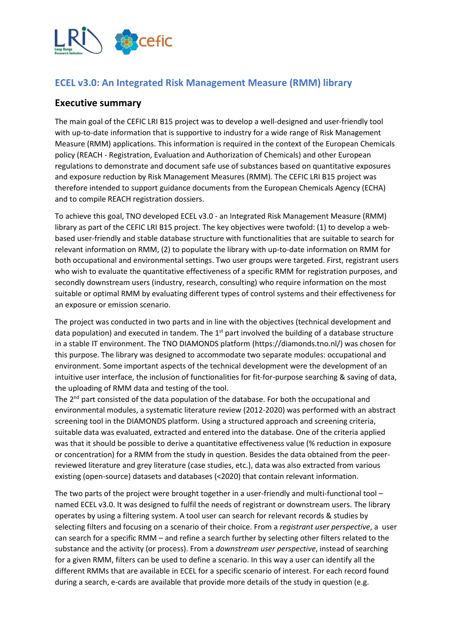

## **ECEL v3.0: An Integrated Risk Management Measure (RMM) library**

## **Executive summary**

The main goal of the CEFIC LRI B15 project was to develop a well-designed and user-friendly tool with up-to-date information that is supportive to industry for a wide range of Risk Management Measure (RMM) applications. This information is required in the context of the European Chemicals policy (REACH - Registration, Evaluation and Authorization of Chemicals) and other European regulations to demonstrate and document safe use of substances based on quantitative exposures and exposure reduction by Risk Management Measures (RMM). The CEFIC LRI B15 project was therefore intended to support guidance documents from the European Chemicals Agency (ECHA) and to compile REACH registration dossiers.

To achieve this goal, TNO developed ECEL v3.0 - an Integrated Risk Management Measure (RMM) library as part of the CEFIC LRI B15 project. The key objectives were twofold: (1) to develop a webbased user-friendly and stable database structure with functionalities that are suitable to search for relevant information on RMM, (2) to populate the library with up-to-date information on RMM for both occupational and environmental settings. Two user groups were targeted. First, registrant users who wish to evaluate the quantitative effectiveness of a specific RMM for registration purposes, and secondly downstream users (industry, research, consulting) who require information on the most suitable or optimal RMM by evaluating different types of control systems and their effectiveness for an exposure or emission scenario.

The project was conducted in two parts and in line with the objectives (technical development and data population) and executed in tandem. The  $1<sup>st</sup>$  part involved the building of a database structure in a stable IT environment. The TNO DIAMONDS platform (https://diamonds.tno.nl/) was chosen for this purpose. The library was designed to accommodate two separate modules: occupational and environment. Some important aspects of the technical development were the development of an intuitive user interface, the inclusion of functionalities for fit-for-purpose searching & saving of data, the uploading of RMM data and testing of the tool.

The 2<sup>nd</sup> part consisted of the data population of the database. For both the occupational and environmental modules, a systematic literature review (2012-2020) was performed with an abstract screening tool in the DIAMONDS platform. Using a structured approach and screening criteria, suitable data was evaluated, extracted and entered into the database. One of the criteria applied was that it should be possible to derive a quantitative effectiveness value (% reduction in exposure or concentration) for a RMM from the study in question. Besides the data obtained from the peerreviewed literature and grey literature (case studies, etc.), data was also extracted from various existing (open-source) datasets and databases (<2020) that contain relevant information.

The two parts of the project were brought together in a user-friendly and multi-functional tool – named ECEL v3.0. It was designed to fulfil the needs of registrant or downstream users. The library operates by using a filtering system. A tool user can search for relevant records & studies by selecting filters and focusing on a scenario of their choice. From a *registrant user perspective*, a user can search for a specific RMM – and refine a search further by selecting other filters related to the substance and the activity (or process). From a *downstream user perspective*, instead of searching for a given RMM, filters can be used to define a scenario. In this way a user can identify all the different RMMs that are available in ECEL for a specific scenario of interest. For each record found during a search, e-cards are available that provide more details of the study in question (e.g.